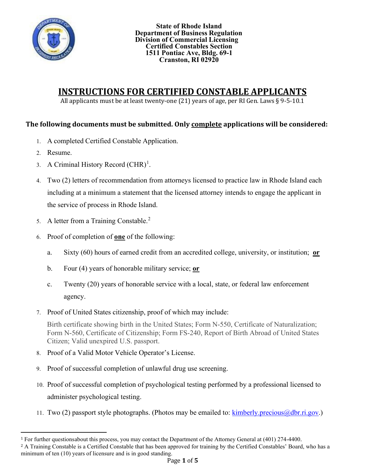

# **INSTRUCTIONS FOR CERTIFIED CONSTABLE APPLICANTS**

All applicants must be at least twenty-one (21) years of age, per RI Gen. Laws § 9-5-10.1

### **The following documents must be submitted. Only complete applications will be considered:**

- 1. A completed Certified Constable Application.
- 2. Resume.
- 3. A Criminal History Record  $(CHR)^1$  $(CHR)^1$ .
- 4. Two (2) letters of recommendation from attorneys licensed to practice law in Rhode Island each including at a minimum a statement that the licensed attorney intends to engage the applicant in the service of process in Rhode Island.
- 5. A letter from a Training Constable.<sup>[2](#page-0-1)</sup>
- 6. Proof of completion of **one** of the following:
	- a. Sixty (60) hours of earned credit from an accredited college, university, or institution; **or**
	- b. Four (4) years of honorable military service; **or**
	- c. Twenty (20) years of honorable service with a local, state, or federal law enforcement agency.
- 7. Proof of United States citizenship, proof of which may include:

Birth certificate showing birth in the United States; Form N-550, Certificate of Naturalization; Form N-560, Certificate of Citizenship; Form FS-240, Report of Birth Abroad of United States Citizen; Valid unexpired U.S. passport.

- 8. Proof of a Valid Motor Vehicle Operator's License.
- 9. Proof of successful completion of unlawful drug use screening.
- 10. Proof of successful completion of psychological testing performed by a professional licensed to administer psychological testing.
- 11. Two (2) passport style photographs. (Photos may be emailed to:  $\frac{\text{kimberly.precious}(\partial_t \text{dbr.ri.gov.)}{\text{cm:grav}}$

<span id="page-0-0"></span><sup>1</sup> For further questionsabout this process, you may contact the Department of the Attorney General at (401) 274-4400.

<span id="page-0-1"></span><sup>&</sup>lt;sup>2</sup> A Training Constable is a Certified Constable that has been approved for training by the Certified Constables' Board, who has a minimum of ten (10) years of licensure and is in good standing.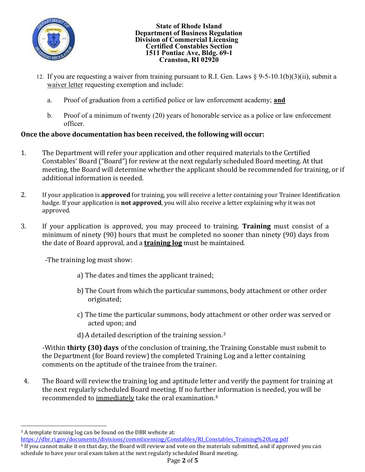

- 12. If you are requesting a waiver from training pursuant to R.I. Gen. Laws § 9-5-10.1(b)(3)(ii), submit a waiver letter requesting exemption and include:
	- a. Proof of graduation from a certified police or law enforcement academy; **and**
	- b. Proof of a minimum of twenty (20) years of honorable service as a police or law enforcement officer.

## **Once the above documentation has been received, the following will occur:**

- 1. The Department will refer your application and other required materials to the Certified Constables' Board ("Board") for review at the next regularly scheduled Board meeting. At that meeting, the Board will determine whether the applicant should be recommended for training, or if additional information is needed.
- 2. If your application is **approved** for training, you will receive a letter containing your Trainee Identification badge. If your application is **not approved**, you will also receive a letter explaining why it was not approved.
- 3. If your application is approved, you may proceed to training. **Training** must consist of a minimum of ninety (90) hours that must be completed no sooner than ninety (90) days from the date of Board approval, and a **training log** must be maintained.

-The training log must show:

- a) The dates and times the applicant trained;
- b) The Court from which the particular summons, body attachment or other order originated;
- c) The time the particular summons, body attachment or other order was served or acted upon; and
- d) A detailed description of the training session. [3](#page-1-0)

-Within **thirty (30) days** of the conclusion of training, the Training Constable must submit to the Department (for Board review) the completed Training Log and a letter containing comments on the aptitude of the trainee from the trainer.

4. The Board will review the training log and aptitude letter and verify the payment for training at the next regularly scheduled Board meeting. If no further information is needed, you will be recommended to immediately take the oral examination.[4](#page-1-1)

<span id="page-1-0"></span><sup>&</sup>lt;sup>3</sup> A template training log can be found on the DBR website at:

https://dbr.ri.gov/documents/divisions/commlicensing/Constables/RI Constables Training%20Log.pdf

<span id="page-1-1"></span><sup>4</sup> If you cannot make it on that day, the Board will review and vote on the materials submitted, and if approved you can schedule to have your oral exam taken at the next regularly scheduled Board meeting.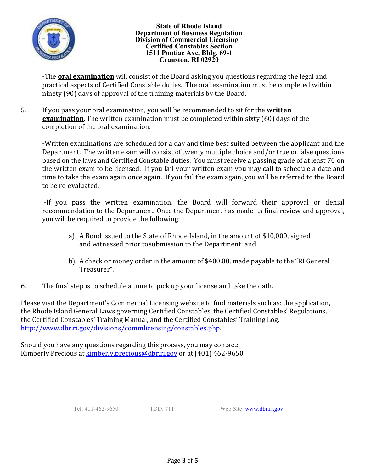

-The **oral examination** will consist of the Board asking you questions regarding the legal and practical aspects of Certified Constable duties. The oral examination must be completed within ninety (90) days of approval of the training materials by the Board.

5. If you pass your oral examination, you will be recommended to sit for the **written examination**. The written examination must be completed within sixty (60) days of the completion of the oral examination.

-Written examinations are scheduled for a day and time best suited between the applicant and the Department. The written exam will consist of twenty multiple choice and/or true or false questions based on the laws and Certified Constable duties. You must receive a passing grade of at least 70 on the written exam to be licensed. If you fail your written exam you may call to schedule a date and time to take the exam again once again. If you fail the exam again, you will be referred to the Board to be re-evaluated.

-If you pass the written examination, the Board will forward their approval or denial recommendation to the Department. Once the Department has made its final review and approval, you will be required to provide the following:

- a) A Bond issued to the State of Rhode Island, in the amount of \$10,000, signed and witnessed prior tosubmission to the Department; and
- b) A check or money order in the amount of \$400.00, made payable to the "RI General Treasurer".
- 6. The final step is to schedule a time to pick up your license and take the oath.

Please visit the Department's Commercial Licensing website to find materials such as: the application, the Rhode Island General Laws governing Certified Constables, the Certified Constables' Regulations, the Certified Constables' Training Manual, and the Certified Constables' Training Log. [http://www.dbr.ri.gov/divisions/commlicensing/constables.php.](http://www.dbr.ri.gov/divisions/commlicensing/constables.php)

Should you have any questions regarding this process, you may contact: Kimberly Precious at **[kimberly.precious@dbr.ri.gov](mailto:kimberly.precious@dbr.ri.gov)** or at (401) 462-9650.

Tel: 401-462-9650 TDD: 711 Web Site: [www.dbr.ri.gov](http://www.dbr.ri.gov/)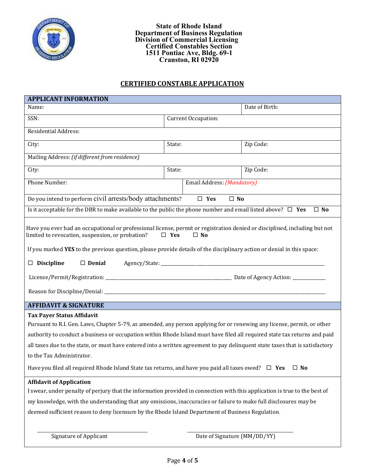

### **CERTIFIED CONSTABLE APPLICATION**

| <b>APPLICANT INFORMATION</b>                                                                                                                                                                                                                                                                                                                                                                                                                                                                                                                                          |                     |                              |                |  |
|-----------------------------------------------------------------------------------------------------------------------------------------------------------------------------------------------------------------------------------------------------------------------------------------------------------------------------------------------------------------------------------------------------------------------------------------------------------------------------------------------------------------------------------------------------------------------|---------------------|------------------------------|----------------|--|
| Name:                                                                                                                                                                                                                                                                                                                                                                                                                                                                                                                                                                 |                     |                              | Date of Birth: |  |
| SSN:                                                                                                                                                                                                                                                                                                                                                                                                                                                                                                                                                                  | Current Occupation: |                              |                |  |
| <b>Residential Address:</b>                                                                                                                                                                                                                                                                                                                                                                                                                                                                                                                                           |                     |                              |                |  |
| City:                                                                                                                                                                                                                                                                                                                                                                                                                                                                                                                                                                 | State:              |                              | Zip Code:      |  |
| Mailing Address: (if different from residence)                                                                                                                                                                                                                                                                                                                                                                                                                                                                                                                        |                     |                              |                |  |
| City:                                                                                                                                                                                                                                                                                                                                                                                                                                                                                                                                                                 | State:              |                              | Zip Code:      |  |
| Phone Number:                                                                                                                                                                                                                                                                                                                                                                                                                                                                                                                                                         |                     | Email Address: (Mandatory)   |                |  |
| Do you intend to perform civil arrests/body attachments?<br>$\square$ Yes<br>$\square$ No                                                                                                                                                                                                                                                                                                                                                                                                                                                                             |                     |                              |                |  |
| Is it acceptable for the DBR to make available to the public the phone number and email listed above? $\Box$ Yes<br>$\Box$ No                                                                                                                                                                                                                                                                                                                                                                                                                                         |                     |                              |                |  |
| Have you ever had an occupational or professional license, permit or registration denied or disciplined, including but not<br>limited to revocation, suspension, or probation?<br>$\Box$ Yes<br>$\Box$ No<br>If you marked YES to the previous question, please provide details of the disciplinary action or denial in this space:<br>$\Box$ Discipline<br>$\Box$ Denial                                                                                                                                                                                             |                     |                              |                |  |
| <b>AFFIDAVIT &amp; SIGNATURE</b>                                                                                                                                                                                                                                                                                                                                                                                                                                                                                                                                      |                     |                              |                |  |
| <b>Tax Payer Status Affidavit</b><br>Pursuant to R.I. Gen. Laws, Chapter 5-79, as amended, any person applying for or renewing any license, permit, or other<br>authority to conduct a business or occupation within Rhode Island must have filed all required state tax returns and paid<br>all taxes due to the state, or must have entered into a written agreement to pay delinguent state taxes that is satisfactory<br>to the Tax Administrator.<br>Have you filed all required Rhode Island State tax returns, and have you paid all taxes owed? $\square$ Yes |                     |                              | $\Box$ No      |  |
| <b>Affidavit of Application</b>                                                                                                                                                                                                                                                                                                                                                                                                                                                                                                                                       |                     |                              |                |  |
| I swear, under penalty of perjury that the information provided in connection with this application is true to the best of                                                                                                                                                                                                                                                                                                                                                                                                                                            |                     |                              |                |  |
| my knowledge, with the understanding that any omissions, inaccuracies or failure to make full disclosures may be                                                                                                                                                                                                                                                                                                                                                                                                                                                      |                     |                              |                |  |
| deemed sufficient reason to deny licensure by the Rhode Island Department of Business Regulation.                                                                                                                                                                                                                                                                                                                                                                                                                                                                     |                     |                              |                |  |
| <b>Signature of Applicant</b>                                                                                                                                                                                                                                                                                                                                                                                                                                                                                                                                         |                     | Date of Signature (MM/DD/YY) |                |  |